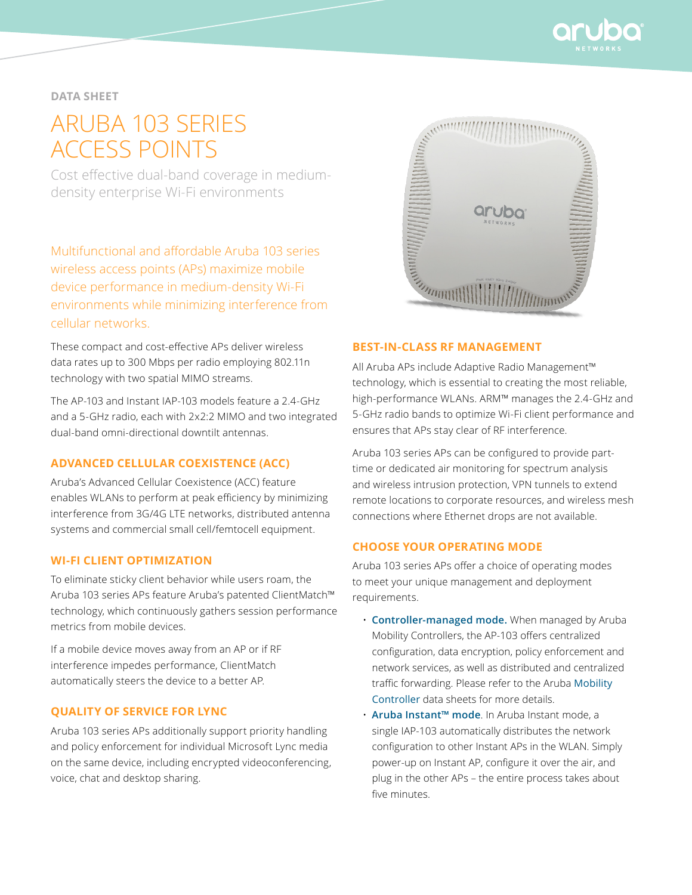

## **data sheet**

# Aruba 103 SERIES ACCESS POINTS

Cost effective dual-band coverage in mediumdensity enterprise Wi-Fi environments

Multifunctional and affordable Aruba 103 series wireless access points (APs) maximize mobile device performance in medium-density Wi-Fi environments while minimizing interference from cellular networks.

These compact and cost-effective APs deliver wireless data rates up to 300 Mbps per radio employing 802.11n technology with two spatial MIMO streams.

The AP-103 and Instant IAP-103 models feature a 2.4-GHz and a 5-GHz radio, each with 2x2:2 MIMO and two integrated dual-band omni-directional downtilt antennas.

## **Advanced Cellular Coexistence (ACC)**

Aruba's Advanced Cellular Coexistence (ACC) feature enables WLANs to perform at peak efficiency by minimizing interference from 3G/4G LTE networks, distributed antenna systems and commercial small cell/femtocell equipment.

## **Wi-Fi client optimization**

To eliminate sticky client behavior while users roam, the Aruba 103 series APs feature Aruba's patented ClientMatch™ technology, which continuously gathers session performance metrics from mobile devices.

If a mobile device moves away from an AP or if RF interference impedes performance, ClientMatch automatically steers the device to a better AP.

#### **Quality of service for Lync**

Aruba 103 series APs additionally support priority handling and policy enforcement for individual Microsoft Lync media on the same device, including encrypted videoconferencing, voice, chat and desktop sharing.



#### **Best-in-class RF management**

All Aruba APs include Adaptive Radio Management™ technology, which is essential to creating the most reliable, high-performance WLANs. ARM™ manages the 2.4-GHz and 5-GHz radio bands to optimize Wi-Fi client performance and ensures that APs stay clear of RF interference.

Aruba 103 series APs can be configured to provide parttime or dedicated air monitoring for spectrum analysis and wireless intrusion protection, VPN tunnels to extend remote locations to corporate resources, and wireless mesh connections where Ethernet drops are not available.

## **CHOOSE YOUR OPERATING MODE**

Aruba 103 series APs offer a choice of operating modes to meet your unique management and deployment requirements.

- **Controller-managed mode.** When managed by Aruba Mobility Controllers, the AP-103 offers centralized configuration, data encryption, policy enforcement and network services, as well as distributed and centralized traffic forwarding. Please refer to the Aruba [Mobility](http://www.arubanetworks.com/products/mobility-controllers/)  [Controller](http://www.arubanetworks.com/products/mobility-controllers/) data sheets for more details.
- **Aruba Instant™ mode**. In Aruba Instant mode, a single IAP-103 automatically distributes the network configuration to other Instant APs in the WLAN. Simply power-up on Instant AP, configure it over the air, and plug in the other APs – the entire process takes about five minutes.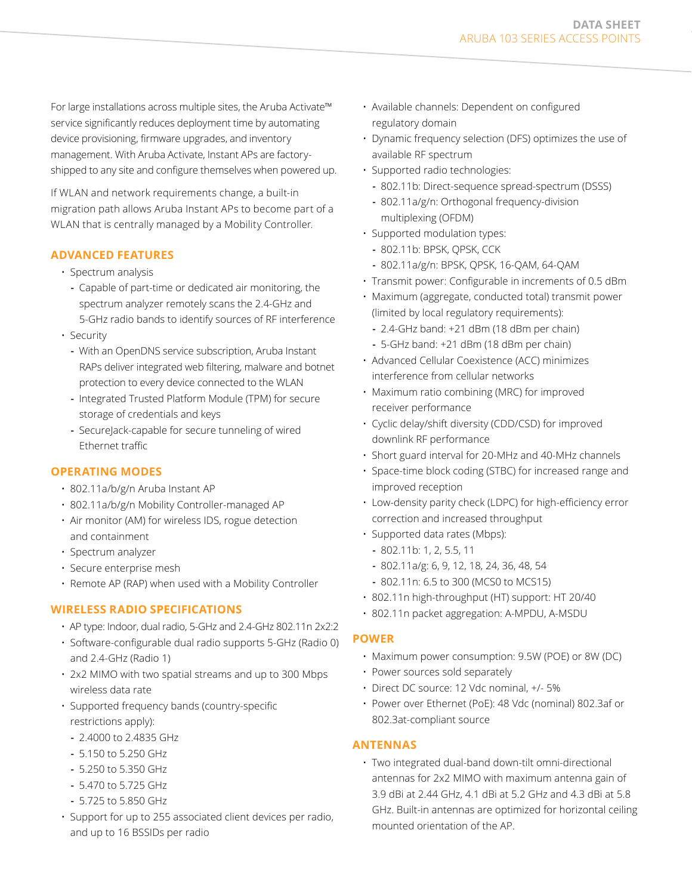For large installations across multiple sites, the Aruba Activate™ service significantly reduces deployment time by automating device provisioning, firmware upgrades, and inventory management. With Aruba Activate, Instant APs are factoryshipped to any site and configure themselves when powered up.

If WLAN and network requirements change, a built-in migration path allows Aruba Instant APs to become part of a WLAN that is centrally managed by a Mobility Controller.

## **ADVANCED FEATURES**

- Spectrum analysis
	- **-** Capable of part-time or dedicated air monitoring, the spectrum analyzer remotely scans the 2.4-GHz and 5-GHz radio bands to identify sources of RF interference
- Security
	- **-** With an OpenDNS service subscription, Aruba Instant RAPs deliver integrated web filtering, malware and botnet protection to every device connected to the WLAN
	- **-** Integrated Trusted Platform Module (TPM) for secure storage of credentials and keys
	- **-** SecureJack-capable for secure tunneling of wired Ethernet traffic

## **OPERATING MODES**

- 802.11a/b/g/n Aruba Instant AP
- 802.11a/b/g/n Mobility Controller-managed AP
- Air monitor (AM) for wireless IDS, rogue detection and containment
- Spectrum analyzer
- Secure enterprise mesh
- Remote AP (RAP) when used with a Mobility Controller

## **Wireless Radio Specifications**

- AP type: Indoor, dual radio, 5-GHz and 2.4-GHz 802.11n 2x2:2
- Software-configurable dual radio supports 5-GHz (Radio 0) and 2.4-GHz (Radio 1)
- 2x2 MIMO with two spatial streams and up to 300 Mbps wireless data rate
- Supported frequency bands (country-specific restrictions apply):
	- **-** 2.4000 to 2.4835 GHz
	- **-** 5.150 to 5.250 GHz
	- **-** 5.250 to 5.350 GHz
	- **-** 5.470 to 5.725 GHz
	- **-** 5.725 to 5.850 GHz
- Support for up to 255 associated client devices per radio, and up to 16 BSSIDs per radio
- Available channels: Dependent on configured regulatory domain
- Dynamic frequency selection (DFS) optimizes the use of available RF spectrum
- Supported radio technologies:
	- **-** 802.11b: Direct-sequence spread-spectrum (DSSS)
	- **-** 802.11a/g/n: Orthogonal frequency-division multiplexing (OFDM)
- Supported modulation types:
	- **-** 802.11b: BPSK, QPSK, CCK
	- **-** 802.11a/g/n: BPSK, QPSK, 16-QAM, 64-QAM
- Transmit power: Configurable in increments of 0.5 dBm
- Maximum (aggregate, conducted total) transmit power (limited by local regulatory requirements):
	- **-** 2.4-GHz band: +21 dBm (18 dBm per chain)
	- **-** 5-GHz band: +21 dBm (18 dBm per chain)
- Advanced Cellular Coexistence (ACC) minimizes interference from cellular networks
- Maximum ratio combining (MRC) for improved receiver performance
- Cyclic delay/shift diversity (CDD/CSD) for improved downlink RF performance
- Short guard interval for 20-MHz and 40-MHz channels
- Space-time block coding (STBC) for increased range and improved reception
- Low-density parity check (LDPC) for high-efficiency error correction and increased throughput
- Supported data rates (Mbps):
	- **-** 802.11b: 1, 2, 5.5, 11
	- **-** 802.11a/g: 6, 9, 12, 18, 24, 36, 48, 54
	- **-** 802.11n: 6.5 to 300 (MCS0 to MCS15)
- 802.11n high-throughput (HT) support: HT 20/40
- 802.11n packet aggregation: A-MPDU, A-MSDU

## **Power**

- Maximum power consumption: 9.5W (POE) or 8W (DC)
- Power sources sold separately
- Direct DC source: 12 Vdc nominal, +/- 5%
- Power over Ethernet (PoE): 48 Vdc (nominal) 802.3af or 802.3at-compliant source

## **ANTENNAS**

• Two integrated dual-band down-tilt omni-directional antennas for 2x2 MIMO with maximum antenna gain of 3.9 dBi at 2.44 GHz, 4.1 dBi at 5.2 GHz and 4.3 dBi at 5.8 GHz. Built-in antennas are optimized for horizontal ceiling mounted orientation of the AP.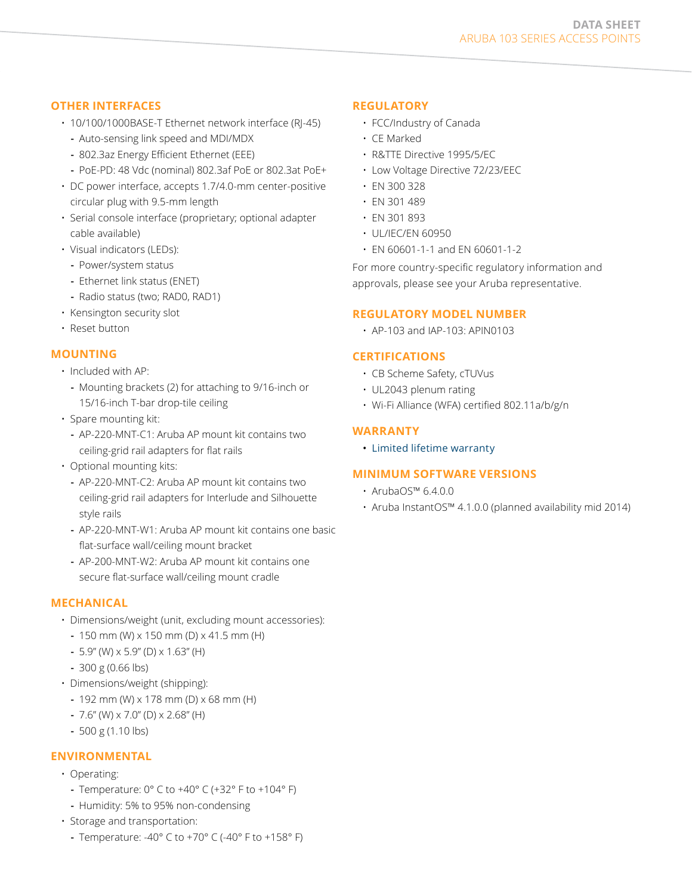#### **DATA SHEET** Aruba 103 SERIES ACCESS POINTS

## **other Interfaces**

- 10/100/1000BASE-T Ethernet network interface (RJ-45)
	- **-** Auto-sensing link speed and MDI/MDX
	- **-** 802.3az Energy Efficient Ethernet (EEE)
	- **-** PoE-PD: 48 Vdc (nominal) 802.3af PoE or 802.3at PoE+
- DC power interface, accepts 1.7/4.0-mm center-positive circular plug with 9.5-mm length
- Serial console interface (proprietary; optional adapter cable available)
- Visual indicators (LEDs):
	- **-** Power/system status
	- **-** Ethernet link status (ENET)
- **-** Radio status (two; RAD0, RAD1)
- Kensington security slot
- Reset button

## **Mounting**

- Included with AP:
	- **-** Mounting brackets (2) for attaching to 9/16-inch or 15/16-inch T-bar drop-tile ceiling
- Spare mounting kit:
	- **-** AP-220-MNT-C1: Aruba AP mount kit contains two ceiling-grid rail adapters for flat rails
- Optional mounting kits:
	- **-** AP-220-MNT-C2: Aruba AP mount kit contains two ceiling-grid rail adapters for Interlude and Silhouette style rails
	- **-** AP-220-MNT-W1: Aruba AP mount kit contains one basic flat-surface wall/ceiling mount bracket
	- **-** AP-200-MNT-W2: Aruba AP mount kit contains one secure flat-surface wall/ceiling mount cradle

## **Mechanical**

- Dimensions/weight (unit, excluding mount accessories):
	- **-** 150 mm (W) x 150 mm (D) x 41.5 mm (H)
	- **-** 5.9" (W) x 5.9" (D) x 1.63" (H)
	- **-** 300 g (0.66 lbs)
- Dimensions/weight (shipping):
	- **-** 192 mm (W) x 178 mm (D) x 68 mm (H)
	- **-** 7.6" (W) x 7.0" (D) x 2.68" (H)
	- **-** 500 g (1.10 lbs)

## **Environmental**

- Operating:
	- **-** Temperature: 0° C to +40° C (+32° F to +104° F)
	- **-** Humidity: 5% to 95% non-condensing
- Storage and transportation:
	- **-** Temperature: -40° C to +70° C (-40° F to +158° F)

## **Regulatory**

- FCC/Industry of Canada
- CE Marked
- R&TTE Directive 1995/5/EC
- Low Voltage Directive 72/23/EEC
- EN 300 328
- EN 301 489
- EN 301 893
- UL/IEC/EN 60950
- EN 60601-1-1 and EN 60601-1-2

For more country-specific regulatory information and approvals, please see your Aruba representative.

#### **REGULATORY MODEL NUMBER**

• AP-103 and IAP-103: APIN0103

## **Certifications**

- CB Scheme Safety, cTUVus
- UL2043 plenum rating
- Wi-Fi Alliance (WFA) certified 802.11a/b/g/n

#### **Warranty**

• [Limited lifetime warranty](http://www.arubanetworks.com/support/lifetime_warranty.php)

## **Minimum software Versions**

- ArubaOS™ 6.4.0.0
- Aruba InstantOS™ 4.1.0.0 (planned availability mid 2014)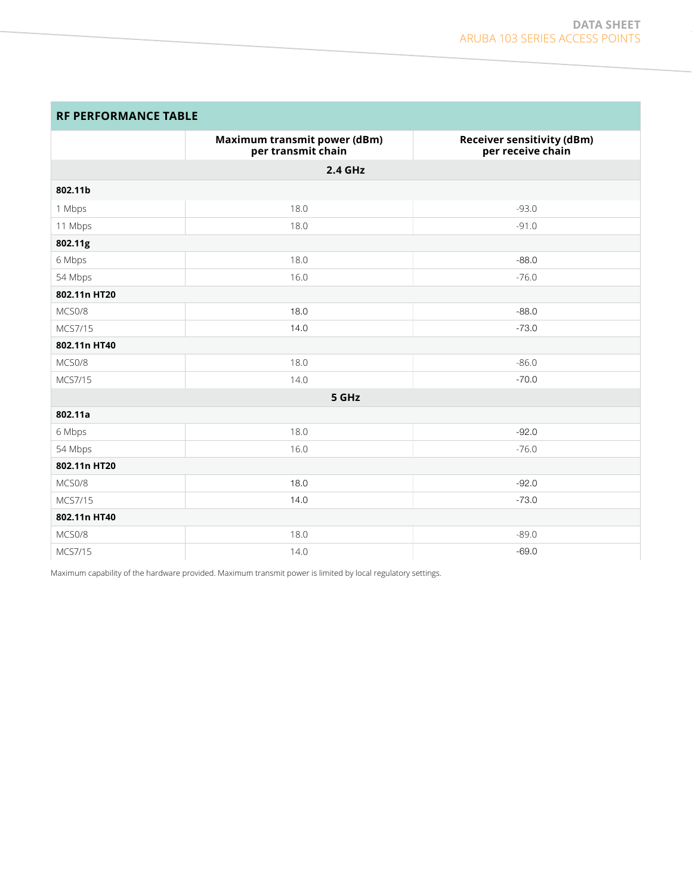| <b>RF PERFORMANCE TABLE</b> |  |
|-----------------------------|--|
|-----------------------------|--|

|              | Maximum transmit power (dBm)<br>per transmit chain | <b>Receiver sensitivity (dBm)</b><br>per receive chain |
|--------------|----------------------------------------------------|--------------------------------------------------------|
| 2.4 GHz      |                                                    |                                                        |
| 802.11b      |                                                    |                                                        |
| 1 Mbps       | 18.0                                               | $-93.0$                                                |
| 11 Mbps      | 18.0                                               | $-91.0$                                                |
| 802.11g      |                                                    |                                                        |
| 6 Mbps       | 18.0                                               | $-88.0$                                                |
| 54 Mbps      | 16.0                                               | $-76.0$                                                |
| 802.11n HT20 |                                                    |                                                        |
| MCS0/8       | 18.0                                               | $-88.0$                                                |
| MCS7/15      | 14.0                                               | $-73.0$                                                |
| 802.11n HT40 |                                                    |                                                        |
| MCS0/8       | 18.0                                               | $-86.0$                                                |
| MCS7/15      | 14.0                                               | $-70.0$                                                |
| 5 GHz        |                                                    |                                                        |
| 802.11a      |                                                    |                                                        |
| 6 Mbps       | 18.0                                               | $-92.0$                                                |
| 54 Mbps      | 16.0                                               | $-76.0$                                                |
| 802.11n HT20 |                                                    |                                                        |
| MCS0/8       | 18.0                                               | $-92.0$                                                |
| MCS7/15      | 14.0                                               | $-73.0$                                                |
| 802.11n HT40 |                                                    |                                                        |
| MCS0/8       | 18.0                                               | $-89.0$                                                |
| MCS7/15      | 14.0                                               | $-69.0$                                                |

Maximum capability of the hardware provided. Maximum transmit power is limited by local regulatory settings.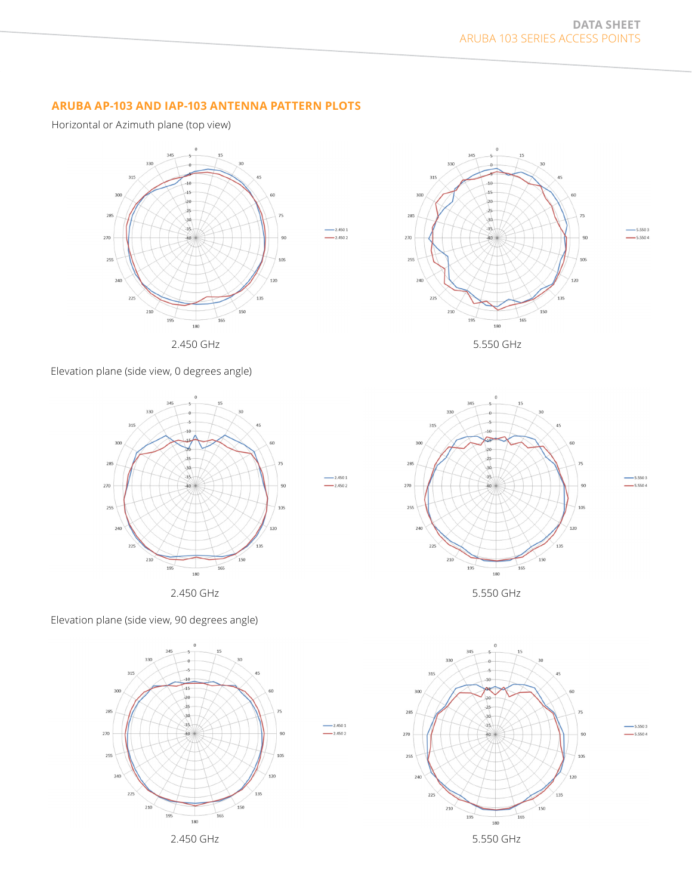## **ARUBA AP-103 AND IAP-103 ANTENNA PATTERN PLOTS**

Horizontal or Azimuth plane (top view)



 $-2.4501$ 

 $-2.4502$ 

 $-2.4502$ 

 $2.4501$ 

 $-2.4502$ 

Elevation plane (side view, 0 degrees angle)



Elevation plane (side view, 90 degrees angle)









5.5503

 $-5.5504$ 

 $-5.5503$ 

 $-5.5504$